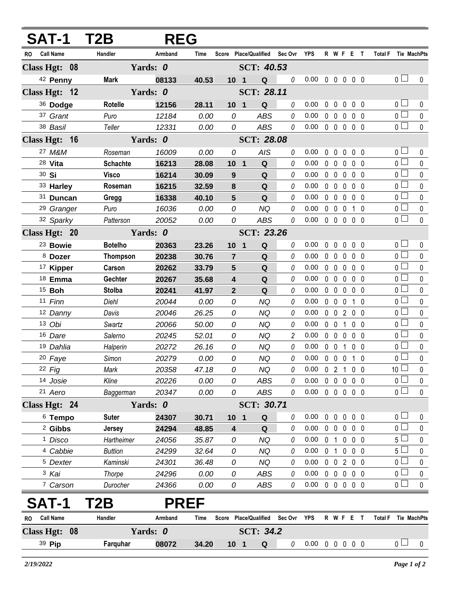| <b>SAT-1</b>            | T2B             | <b>REG</b>  |       |                  |                                   |                |                            |   |                   |                |                              |                |                 |                     |
|-------------------------|-----------------|-------------|-------|------------------|-----------------------------------|----------------|----------------------------|---|-------------------|----------------|------------------------------|----------------|-----------------|---------------------|
| <b>Call Name</b><br>RO. | Handler         | Armband     | Time  |                  | Score Place/Qualified             | Sec Ovr        | <b>YPS</b>                 |   |                   |                | R W F E T                    | <b>Total F</b> |                 | Tie MachPts         |
| Class Hgt: 08           |                 | Yards: 0    |       |                  | SCT: 40.53                        |                |                            |   |                   |                |                              |                |                 |                     |
| 42 Penny                | <b>Mark</b>     | 08133       | 40.53 | 10 <sub>1</sub>  | Q                                 | $\it{0}$       | 0.00                       |   |                   |                | 00000                        |                | 0 <sub>l</sub>  | 0                   |
| Class Hgt: 12           |                 | Yards: 0    |       |                  | SCT: 28.11                        |                |                            |   |                   |                |                              |                |                 |                     |
| 36 Dodge                | Rotelle         | 12156       | 28.11 | 10 <sub>1</sub>  | Q                                 | 0              | 0.00                       | 0 | $\mathbf 0$       | $\mathbf 0$    | 0 <sub>0</sub>               |                | 0 <sub>0</sub>  | 0                   |
| 37 Grant                | Puro            | 12184       | 0.00  | 0                | <b>ABS</b>                        | 0              | 0.00                       |   | $0\quad 0$        | $\mathbf 0$    | 0 <sub>0</sub>               |                | $\overline{0}$  | $\pmb{0}$           |
| 38 Basil                | Teller          | 12331       | 0.00  | 0                | ABS                               | 0              | 0.00                       |   |                   |                | 00000                        |                | $\overline{0}$  | $\pmb{0}$           |
| Class Hgt: 16           |                 | Yards: 0    |       |                  | <b>SCT: 28.08</b>                 |                |                            |   |                   |                |                              |                |                 |                     |
| 27 M&M                  | Roseman         | 16009       | 0.00  | 0                | <b>AIS</b>                        | 0              | 0.00                       | 0 | $\overline{0}$    | $\mathbf 0$    | 0 <sub>0</sub>               |                | 0 <sub>0</sub>  | 0                   |
| 28 Vita                 | <b>Schachte</b> | 16213       | 28.08 | $10 \quad 1$     | $\mathbf Q$                       | 0              | 0.00                       | 0 | $\overline{0}$    | $\mathbf 0$    | 0 <sub>0</sub>               |                | $\overline{0}$  | $\pmb{0}$           |
| 30 Si                   | <b>Visco</b>    | 16214       | 30.09 | 9                | Q                                 | 0              | 0.00                       |   | $0\quad 0$        | $\mathbf 0$    | 0 <sub>0</sub>               |                | 0 <sub>1</sub>  | $\pmb{0}$           |
| 33 Harley               | Roseman         | 16215       | 32.59 | 8                | ${\bf Q}$                         | 0              | 0.00                       |   | $0\quad 0$        | $\mathbf{0}$   | 0 <sub>0</sub>               |                | $\overline{0}$  | 0                   |
| 31 Duncan               | Gregg           | 16338       | 40.10 | 5                | Q                                 | 0              | 0.00                       |   | $0\quad 0$        | $\mathbf 0$    | 0 <sub>0</sub>               |                | $\overline{0}$  | $\pmb{0}$           |
| <sup>29</sup> Granger   | Puro            | 16036       | 0.00  | 0                | <b>NQ</b>                         | 0              | 0.00                       |   | $0\quad 0$        | 0              | 1 0                          |                | $\overline{0}$  | $\pmb{0}$           |
| 32 Sparky               | Patterson       | 20052       | 0.00  | 0                | <b>ABS</b>                        | 0              | 0.00                       |   | $0\quad 0$        | $\mathbf 0$    | 0 <sub>0</sub>               |                | $\overline{0}$  | $\Omega$            |
| Class Hgt: 20           |                 | Yards: 0    |       |                  | <b>SCT: 23.26</b>                 |                |                            |   |                   |                |                              |                |                 |                     |
| <sup>23</sup> Bowie     | <b>Botelho</b>  | 20363       | 23.26 | 10 <sup>1</sup>  | $\mathbf Q$<br>$\mathbf 1$        | 0              | 0.00                       | 0 | $\mathbf 0$       | 0              | 0 <sub>0</sub>               |                | $\overline{0}$  | 0                   |
| 8 Dozer                 | <b>Thompson</b> | 20238       | 30.76 | $\overline{7}$   | Q                                 | 0              | 0.00                       |   | $0\quad 0$        | $\mathbf 0$    | 0 <sub>0</sub>               |                | 0 <sub>1</sub>  | 0                   |
| <sup>17</sup> Kipper    | Carson          | 20262       | 33.79 | 5                | Q                                 | 0              | 0.00                       |   | $0\quad 0$        | $\mathbf{0}$   | 0 <sub>0</sub>               |                | $\overline{0}$  | $\pmb{0}$           |
| 18 Emma                 | Gechter         | 20267       | 35.68 | 4                | Q                                 | 0              | 0.00                       |   | $0\quad 0$        | $\mathbf 0$    | 0 <sub>0</sub>               |                | $\overline{0}$  | $\pmb{0}$           |
| <sup>15</sup> Boh       | <b>Stolba</b>   | 20241       | 41.97 | $\overline{2}$   | Q                                 | 0              | 0.00                       |   | $0\quad 0$        | 0              | 0 <sub>0</sub>               |                | $\overline{0}$  | $\pmb{0}$           |
| 11 Finn                 | Diehl           | 20044       | 0.00  | 0                | <b>NQ</b>                         | 0              | 0.00                       |   | $0\quad 0$        | $\mathbf 0$    | $\mathbf{1}$<br>$\mathbf{0}$ |                | 0 <sub>0</sub>  | $\pmb{0}$           |
| 12 Danny                | Davis           | 20046       | 26.25 | 0                | NQ                                | 0              | 0.00                       |   | $0\quad 0$        | $\overline{2}$ | $0\quad 0$                   |                | $\overline{0}$  | $\pmb{0}$           |
| 13 Obi                  | Swartz          | 20066       | 50.00 | 0                | <b>NQ</b>                         | 0              | 0.00                       |   | $0\quad 0$        | $\mathbf{1}$   | 0 <sub>0</sub>               |                | 0 <sub>0</sub>  | $\pmb{0}$           |
| 16 Dare                 | Salerno         | 20245       | 52.01 | 0                | <b>NQ</b>                         | $\overline{c}$ | 0.00                       |   | $0\quad 0$        | $\mathbf 0$    | 0 <sub>0</sub>               |                | $\overline{0}$  | $\pmb{0}$           |
| 19 Dahlia               | Halperin        | 20272       | 26.16 | 0                | <b>NQ</b>                         | 0              | 0.00                       |   | $0\quad 0$        | 1              | 0 <sub>0</sub>               |                | 0 <sub>1</sub>  | $\pmb{0}$           |
| 20 Faye                 | Simon           | 20279       | 0.00  | 0                | <b>NQ</b>                         | 0              | 0.00                       |   | $0\quad 0\quad 0$ |                | $1\quad0$                    |                | $\overline{0}$  | $\pmb{0}$           |
| 22 Fig                  | Mark            | 20358       | 47.18 | 0                | <b>NQ</b>                         | 0              | 0.00                       |   | 0 <sub>2</sub>    | $\overline{1}$ | 0 <sub>0</sub>               |                | 10 <sup>1</sup> | 0                   |
| 14 Josie                | Kline           | 20226       | 0.00  | 0                | <b>ABS</b>                        | 0              | 0.00                       |   | $0\quad 0$        | $\mathbf 0$    | $0\quad 0$                   |                | $\overline{0}$  | $\pmb{0}$           |
| 21 Aero                 | Baggerman       | 20347       | 0.00  | 0                | ABS                               | 0              | 0.00                       |   |                   |                | 0 0 0 0 0                    |                | 0 <sup>1</sup>  | $\mathbf 0$         |
| Class Hgt: 24           |                 | Yards: 0    |       |                  | SCT: 30.71                        |                |                            |   |                   |                |                              |                |                 |                     |
| <sup>6</sup> Tempo      | <b>Suter</b>    | 24307       | 30.71 | 10 <sub>1</sub>  | Q                                 | 0              | 0.00                       | 0 | $\mathbf 0$       | $\pmb{0}$      | $0\quad 0$                   |                | 0 <sub>0</sub>  | 0                   |
| <sup>2</sup> Gibbs      | Jersey          | 24294       | 48.85 | 4                | Q                                 | 0              | 0.00                       |   | $0\quad 0$        | $\mathbf 0$    | $0\quad 0$                   |                | 0 <sub>1</sub>  | 0                   |
| <sup>1</sup> Disco      | Hartheimer      | 24056       | 35.87 | 0                | <b>NQ</b>                         | 0              | 0.00                       |   | 0 <sub>1</sub>    |                | $0\quad 0\quad 0$            |                | $5 \Box$        | $\pmb{0}$           |
| <sup>4</sup> Cabbie     | <b>Buttion</b>  | 24299       | 32.64 | 0                | <b>NQ</b>                         | 0              | 0.00                       |   | 0 <sub>1</sub>    | $\pmb{0}$      | $0\quad 0$                   |                | 5 <sub>1</sub>  | 0                   |
| <sup>5</sup> Dexter     | Kaminski        | 24301       | 36.48 | 0                | <b>NQ</b>                         | 0              | 0.00                       |   | $0\quad 0$        |                | 200                          |                | $\overline{0}$  | $\pmb{0}$           |
| 3 Kai                   | Thorpe          | 24296       | 0.00  | 0                | <b>ABS</b>                        | 0              | 0.00                       |   | $0\quad 0$        | $\mathbf 0$    | $0\quad 0$                   |                | 0 <sup>2</sup>  | 0                   |
| 7 Carson                | Durocher        | 24366       | 0.00  | 0                | ABS                               | 0              | $0.00 \t0 \t0 \t0 \t0 \t0$ |   |                   |                |                              |                | $\overline{0}$  | $\mathbf 0$         |
| <b>SAT-1</b>            | T2B             | <b>PREF</b> |       |                  |                                   |                |                            |   |                   |                |                              |                |                 |                     |
| <b>Call Name</b><br>RO  | Handler         | Armband     | Time  |                  | Score Place/Qualified Sec Ovr YPS |                |                            |   |                   |                | R W F E T                    |                |                 | Total F Tie MachPts |
| Class Hgt: 08           |                 | Yards: 0    |       | <b>SCT: 34.2</b> |                                   |                |                            |   |                   |                |                              |                |                 |                     |
| 39 Pip                  | Farquhar        | 08072       | 34.20 | 10 <sub>1</sub>  | Q                                 | 0              | $0.00 \t0 \t0 \t0 \t0 \t0$ |   |                   |                |                              |                | 0 <sub>0</sub>  | $\mathbf 0$         |